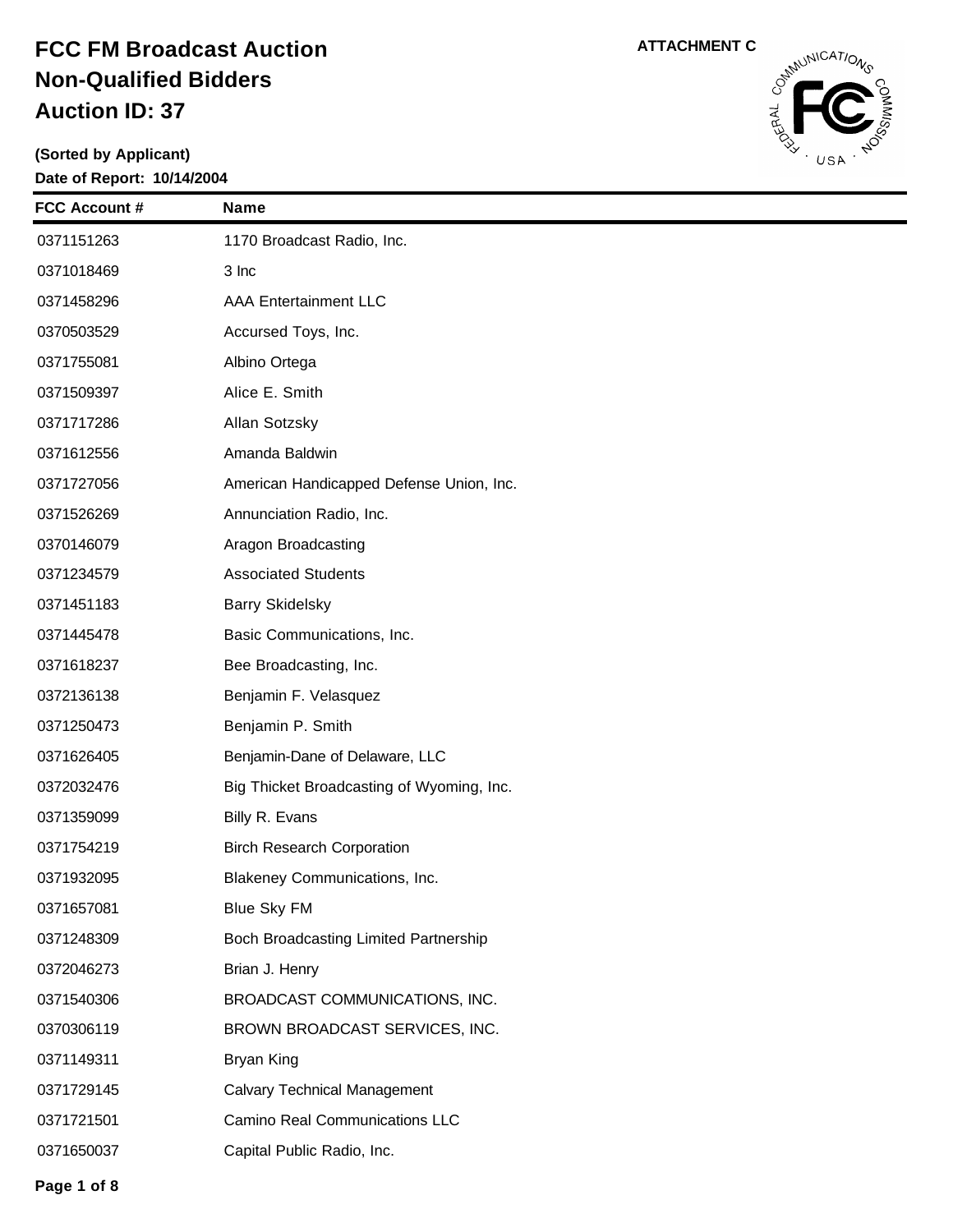**(Sorted by Applicant) Date of Report: 10/14/2004**



| <b>FCC Account #</b> | <b>Name</b>                               |
|----------------------|-------------------------------------------|
| 0371151263           | 1170 Broadcast Radio, Inc.                |
| 0371018469           | 3 Inc                                     |
| 0371458296           | <b>AAA Entertainment LLC</b>              |
| 0370503529           | Accursed Toys, Inc.                       |
| 0371755081           | Albino Ortega                             |
| 0371509397           | Alice E. Smith                            |
| 0371717286           | Allan Sotzsky                             |
| 0371612556           | Amanda Baldwin                            |
| 0371727056           | American Handicapped Defense Union, Inc.  |
| 0371526269           | Annunciation Radio, Inc.                  |
| 0370146079           | Aragon Broadcasting                       |
| 0371234579           | <b>Associated Students</b>                |
| 0371451183           | <b>Barry Skidelsky</b>                    |
| 0371445478           | Basic Communications, Inc.                |
| 0371618237           | Bee Broadcasting, Inc.                    |
| 0372136138           | Benjamin F. Velasquez                     |
| 0371250473           | Benjamin P. Smith                         |
| 0371626405           | Benjamin-Dane of Delaware, LLC            |
| 0372032476           | Big Thicket Broadcasting of Wyoming, Inc. |
| 0371359099           | Billy R. Evans                            |
| 0371754219           | <b>Birch Research Corporation</b>         |
| 0371932095           | Blakeney Communications, Inc.             |
| 0371657081           | <b>Blue Sky FM</b>                        |
| 0371248309           | Boch Broadcasting Limited Partnership     |
| 0372046273           | Brian J. Henry                            |
| 0371540306           | BROADCAST COMMUNICATIONS, INC.            |
| 0370306119           | BROWN BROADCAST SERVICES, INC.            |
| 0371149311           | Bryan King                                |
| 0371729145           | <b>Calvary Technical Management</b>       |
| 0371721501           | Camino Real Communications LLC            |
| 0371650037           | Capital Public Radio, Inc.                |
|                      |                                           |

**Page 1 of 8**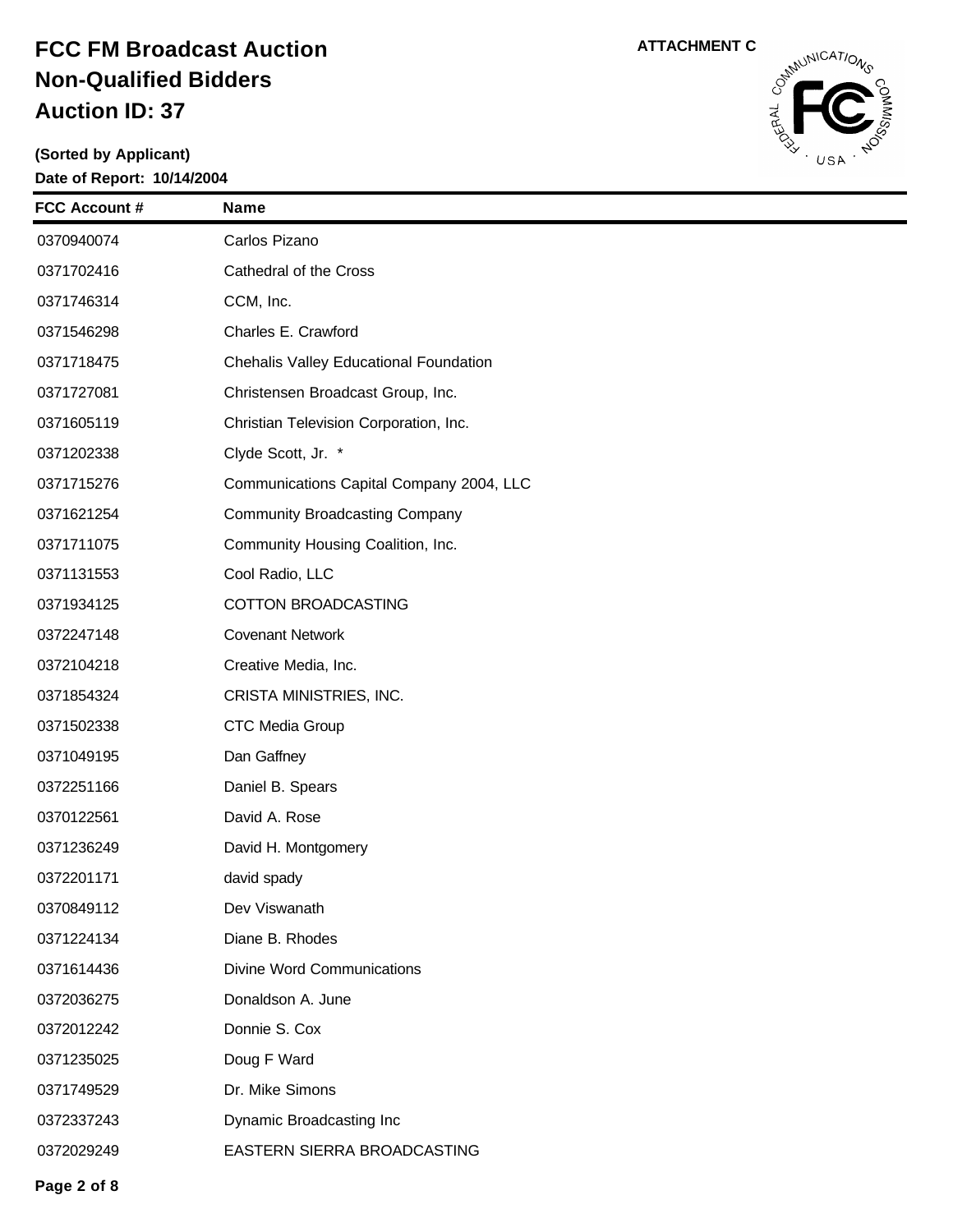

| <b>FCC Account #</b> | <b>Name</b>                              |
|----------------------|------------------------------------------|
| 0370940074           | Carlos Pizano                            |
| 0371702416           | Cathedral of the Cross                   |
| 0371746314           | CCM, Inc.                                |
| 0371546298           | Charles E. Crawford                      |
| 0371718475           | Chehalis Valley Educational Foundation   |
| 0371727081           | Christensen Broadcast Group, Inc.        |
| 0371605119           | Christian Television Corporation, Inc.   |
| 0371202338           | Clyde Scott, Jr. *                       |
| 0371715276           | Communications Capital Company 2004, LLC |
| 0371621254           | <b>Community Broadcasting Company</b>    |
| 0371711075           | Community Housing Coalition, Inc.        |
| 0371131553           | Cool Radio, LLC                          |
| 0371934125           | <b>COTTON BROADCASTING</b>               |
| 0372247148           | <b>Covenant Network</b>                  |
| 0372104218           | Creative Media, Inc.                     |
| 0371854324           | CRISTA MINISTRIES, INC.                  |
| 0371502338           | CTC Media Group                          |
| 0371049195           | Dan Gaffney                              |
| 0372251166           | Daniel B. Spears                         |
| 0370122561           | David A. Rose                            |
| 0371236249           | David H. Montgomery                      |
| 0372201171           | david spady                              |
| 0370849112           | Dev Viswanath                            |
| 0371224134           | Diane B. Rhodes                          |
| 0371614436           | <b>Divine Word Communications</b>        |
| 0372036275           | Donaldson A. June                        |
| 0372012242           | Donnie S. Cox                            |
| 0371235025           | Doug F Ward                              |
| 0371749529           | Dr. Mike Simons                          |
| 0372337243           | Dynamic Broadcasting Inc                 |
| 0372029249           | EASTERN SIERRA BROADCASTING              |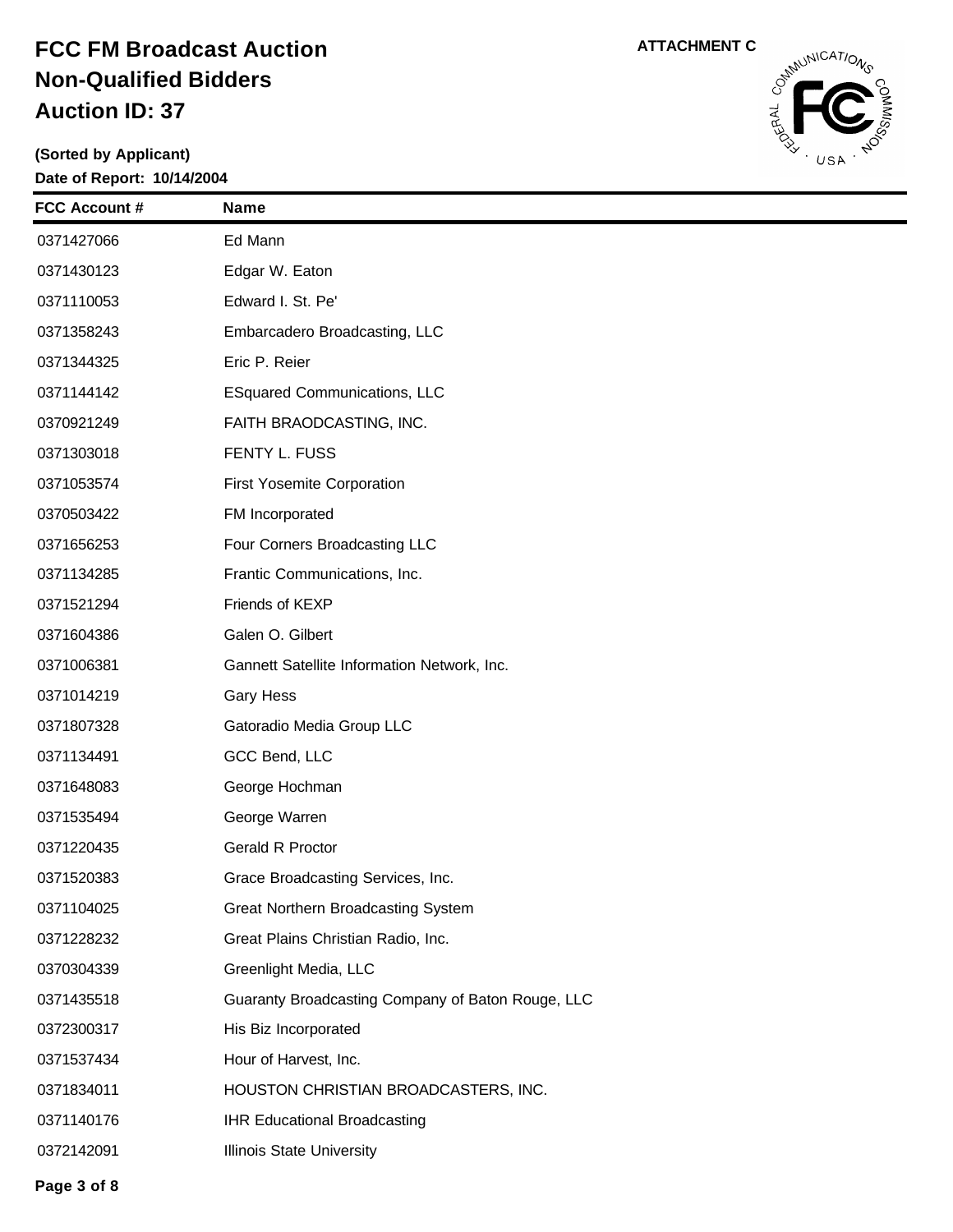**(Sorted by Applicant) Date of Report: 10/14/2004**



| <b>FCC Account #</b> | <b>Name</b>                                       |
|----------------------|---------------------------------------------------|
| 0371427066           | Ed Mann                                           |
| 0371430123           | Edgar W. Eaton                                    |
| 0371110053           | Edward I. St. Pe'                                 |
| 0371358243           | Embarcadero Broadcasting, LLC                     |
| 0371344325           | Eric P. Reier                                     |
| 0371144142           | <b>ESquared Communications, LLC</b>               |
| 0370921249           | FAITH BRAODCASTING, INC.                          |
| 0371303018           | FENTY L. FUSS                                     |
| 0371053574           | <b>First Yosemite Corporation</b>                 |
| 0370503422           | FM Incorporated                                   |
| 0371656253           | Four Corners Broadcasting LLC                     |
| 0371134285           | Frantic Communications, Inc.                      |
| 0371521294           | Friends of KEXP                                   |
| 0371604386           | Galen O. Gilbert                                  |
| 0371006381           | Gannett Satellite Information Network, Inc.       |
| 0371014219           | <b>Gary Hess</b>                                  |
| 0371807328           | Gatoradio Media Group LLC                         |
| 0371134491           | GCC Bend, LLC                                     |
| 0371648083           | George Hochman                                    |
| 0371535494           | George Warren                                     |
| 0371220435           | Gerald R Proctor                                  |
| 0371520383           | Grace Broadcasting Services, Inc.                 |
| 0371104025           | Great Northern Broadcasting System                |
| 0371228232           | Great Plains Christian Radio, Inc.                |
| 0370304339           | Greenlight Media, LLC                             |
| 0371435518           | Guaranty Broadcasting Company of Baton Rouge, LLC |
| 0372300317           | His Biz Incorporated                              |
| 0371537434           | Hour of Harvest, Inc.                             |
| 0371834011           | HOUSTON CHRISTIAN BROADCASTERS, INC.              |
| 0371140176           | <b>IHR Educational Broadcasting</b>               |
| 0372142091           | Illinois State University                         |
|                      |                                                   |

**Page 3 of 8**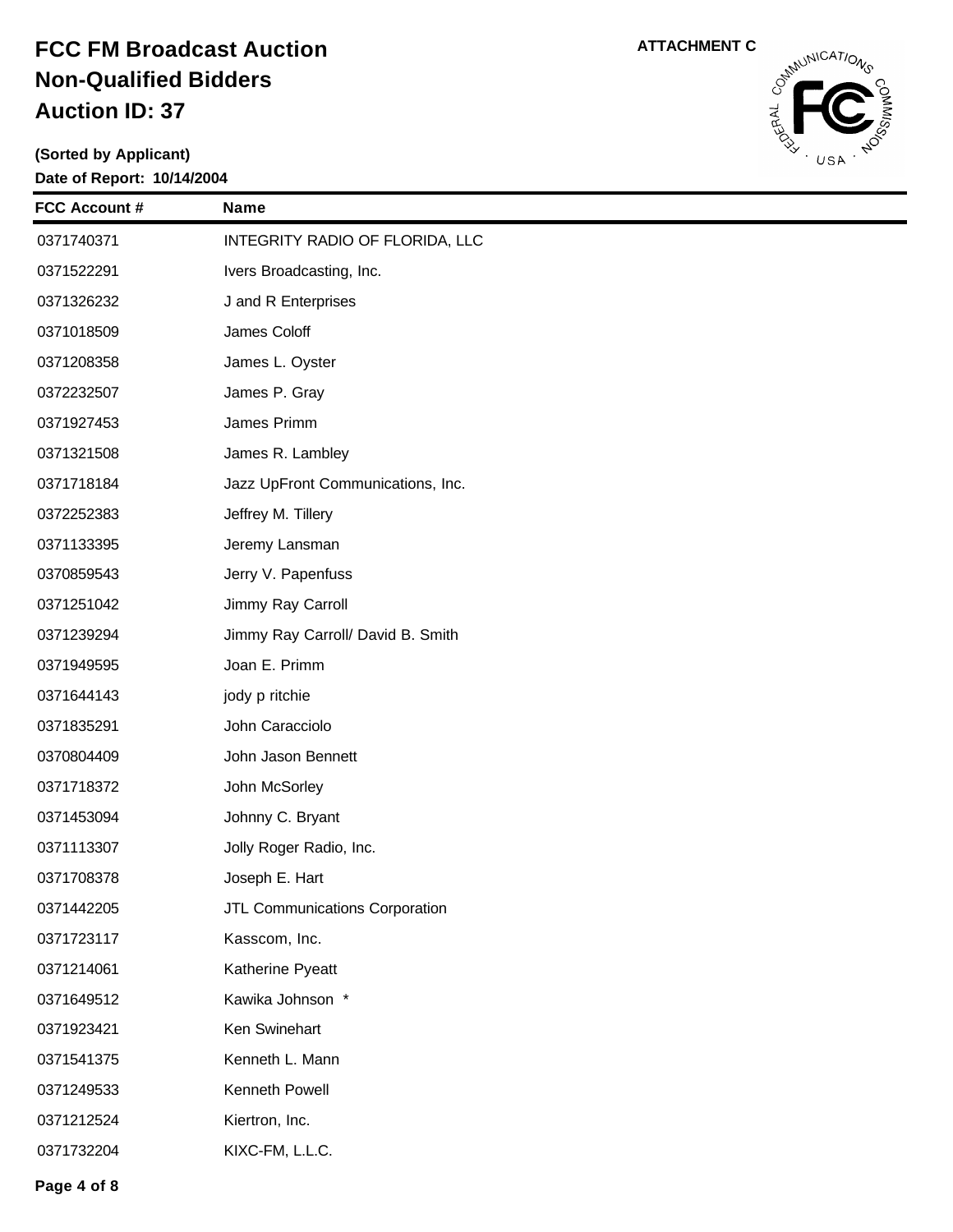

| <b>FCC Account #</b> | <b>Name</b>                       |
|----------------------|-----------------------------------|
| 0371740371           | INTEGRITY RADIO OF FLORIDA, LLC   |
| 0371522291           | Ivers Broadcasting, Inc.          |
| 0371326232           | J and R Enterprises               |
| 0371018509           | James Coloff                      |
| 0371208358           | James L. Oyster                   |
| 0372232507           | James P. Gray                     |
| 0371927453           | James Primm                       |
| 0371321508           | James R. Lambley                  |
| 0371718184           | Jazz UpFront Communications, Inc. |
| 0372252383           | Jeffrey M. Tillery                |
| 0371133395           | Jeremy Lansman                    |
| 0370859543           | Jerry V. Papenfuss                |
| 0371251042           | Jimmy Ray Carroll                 |
| 0371239294           | Jimmy Ray Carroll/ David B. Smith |
| 0371949595           | Joan E. Primm                     |
| 0371644143           | jody p ritchie                    |
| 0371835291           | John Caracciolo                   |
| 0370804409           | John Jason Bennett                |
| 0371718372           | John McSorley                     |
| 0371453094           | Johnny C. Bryant                  |
| 0371113307           | Jolly Roger Radio, Inc.           |
| 0371708378           | Joseph E. Hart                    |
| 0371442205           | JTL Communications Corporation    |
| 0371723117           | Kasscom, Inc.                     |
| 0371214061           | Katherine Pyeatt                  |
| 0371649512           | Kawika Johnson *                  |
| 0371923421           | Ken Swinehart                     |
| 0371541375           | Kenneth L. Mann                   |
| 0371249533           | Kenneth Powell                    |
| 0371212524           | Kiertron, Inc.                    |
| 0371732204           | KIXC-FM, L.L.C.                   |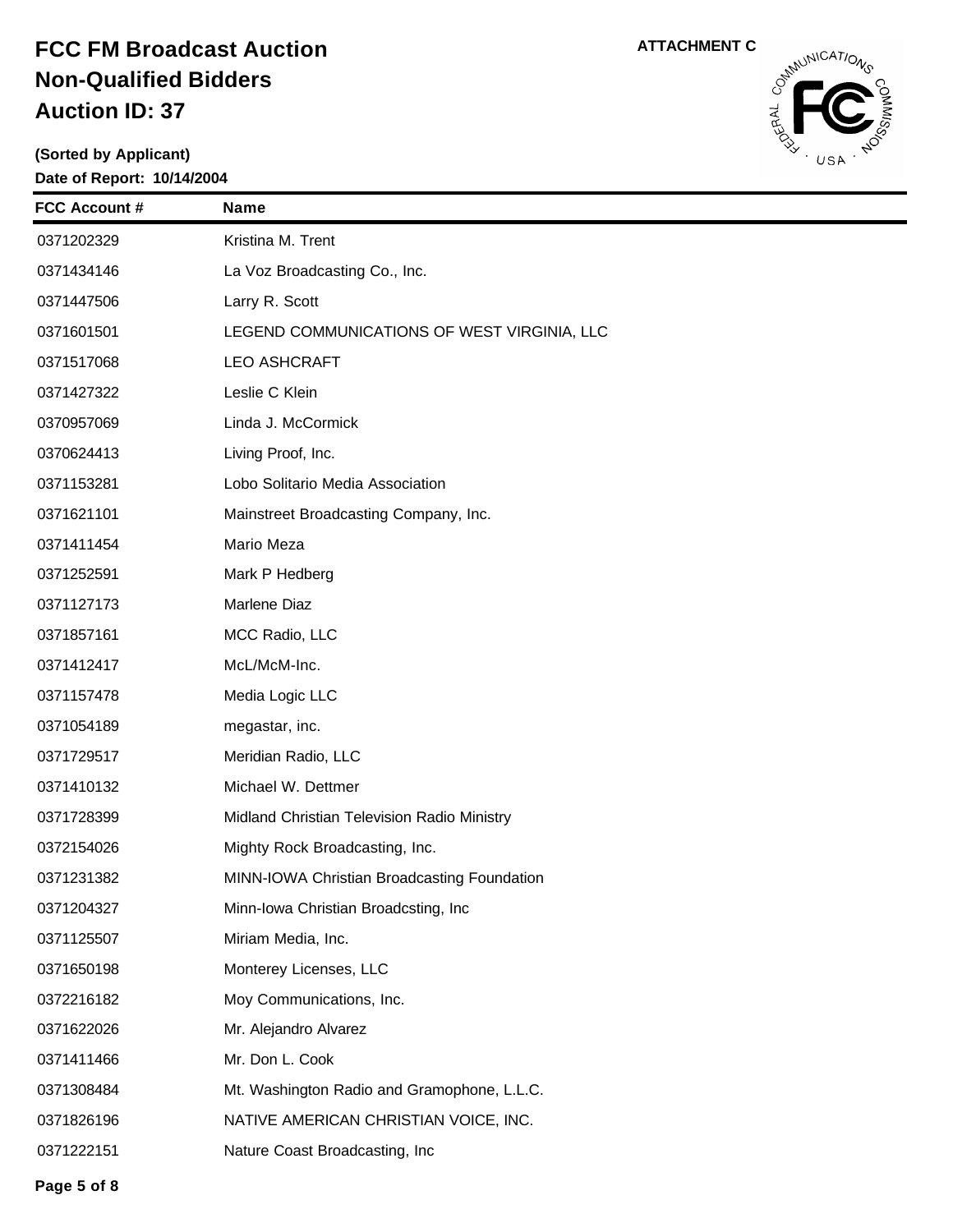

| <b>FCC Account #</b> | <b>Name</b>                                 |
|----------------------|---------------------------------------------|
| 0371202329           | Kristina M. Trent                           |
| 0371434146           | La Voz Broadcasting Co., Inc.               |
| 0371447506           | Larry R. Scott                              |
| 0371601501           | LEGEND COMMUNICATIONS OF WEST VIRGINIA, LLC |
| 0371517068           | <b>LEO ASHCRAFT</b>                         |
| 0371427322           | Leslie C Klein                              |
| 0370957069           | Linda J. McCormick                          |
| 0370624413           | Living Proof, Inc.                          |
| 0371153281           | Lobo Solitario Media Association            |
| 0371621101           | Mainstreet Broadcasting Company, Inc.       |
| 0371411454           | Mario Meza                                  |
| 0371252591           | Mark P Hedberg                              |
| 0371127173           | Marlene Diaz                                |
| 0371857161           | MCC Radio, LLC                              |
| 0371412417           | McL/McM-Inc.                                |
| 0371157478           | Media Logic LLC                             |
| 0371054189           | megastar, inc.                              |
| 0371729517           | Meridian Radio, LLC                         |
| 0371410132           | Michael W. Dettmer                          |
| 0371728399           | Midland Christian Television Radio Ministry |
| 0372154026           | Mighty Rock Broadcasting, Inc.              |
| 0371231382           | MINN-IOWA Christian Broadcasting Foundation |
| 0371204327           | Minn-Iowa Christian Broadcsting, Inc        |
| 0371125507           | Miriam Media, Inc.                          |
| 0371650198           | Monterey Licenses, LLC                      |
| 0372216182           | Moy Communications, Inc.                    |
| 0371622026           | Mr. Alejandro Alvarez                       |
| 0371411466           | Mr. Don L. Cook                             |
| 0371308484           | Mt. Washington Radio and Gramophone, L.L.C. |
| 0371826196           | NATIVE AMERICAN CHRISTIAN VOICE, INC.       |
| 0371222151           | Nature Coast Broadcasting, Inc              |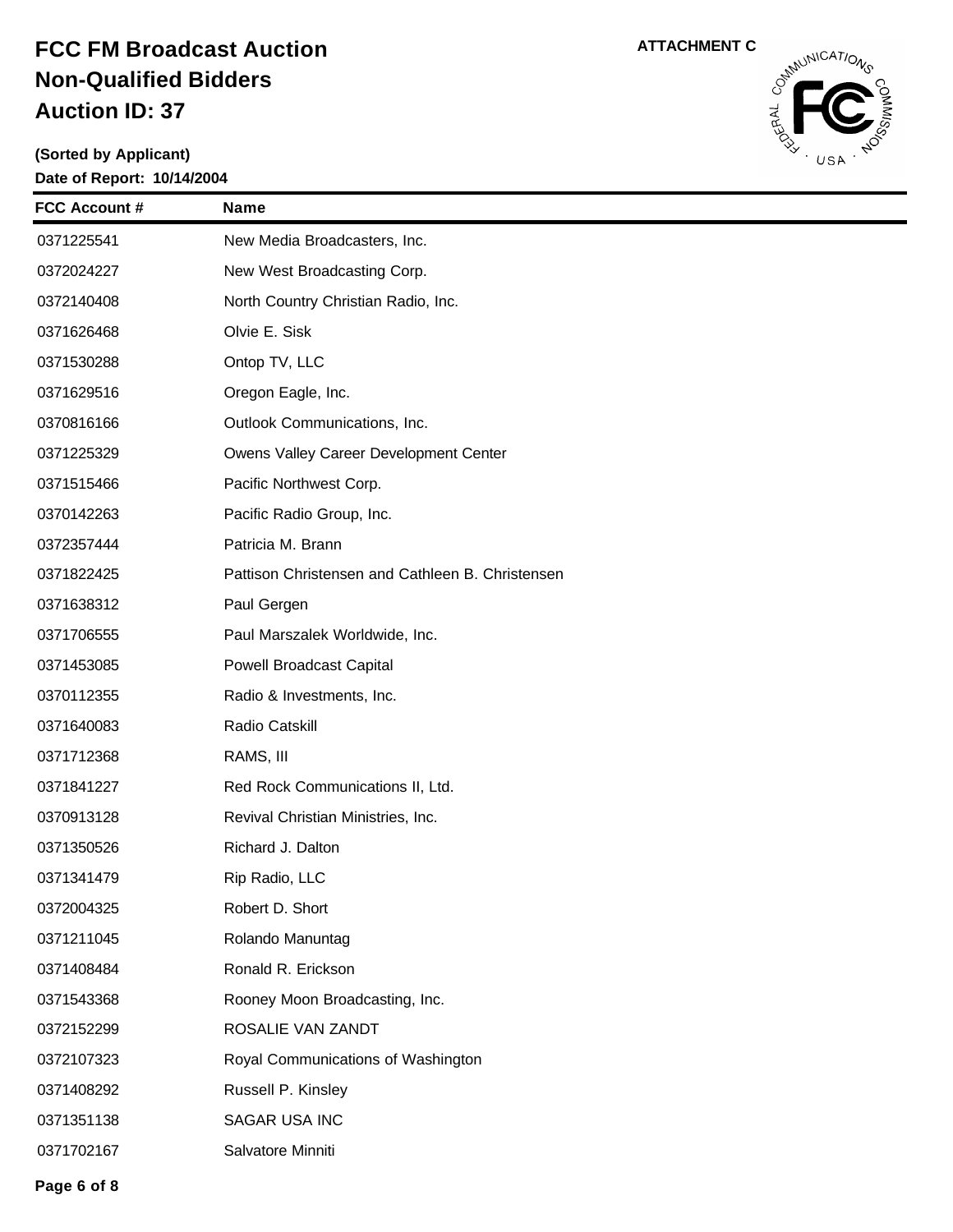

| <b>FCC Account #</b> | <b>Name</b>                                      |
|----------------------|--------------------------------------------------|
| 0371225541           | New Media Broadcasters, Inc.                     |
| 0372024227           | New West Broadcasting Corp.                      |
| 0372140408           | North Country Christian Radio, Inc.              |
| 0371626468           | Olvie E. Sisk                                    |
| 0371530288           | Ontop TV, LLC                                    |
| 0371629516           | Oregon Eagle, Inc.                               |
| 0370816166           | Outlook Communications, Inc.                     |
| 0371225329           | Owens Valley Career Development Center           |
| 0371515466           | Pacific Northwest Corp.                          |
| 0370142263           | Pacific Radio Group, Inc.                        |
| 0372357444           | Patricia M. Brann                                |
| 0371822425           | Pattison Christensen and Cathleen B. Christensen |
| 0371638312           | Paul Gergen                                      |
| 0371706555           | Paul Marszalek Worldwide, Inc.                   |
| 0371453085           | <b>Powell Broadcast Capital</b>                  |
| 0370112355           | Radio & Investments, Inc.                        |
| 0371640083           | Radio Catskill                                   |
| 0371712368           | RAMS, III                                        |
| 0371841227           | Red Rock Communications II, Ltd.                 |
| 0370913128           | Revival Christian Ministries, Inc.               |
| 0371350526           | Richard J. Dalton                                |
| 0371341479           | Rip Radio, LLC                                   |
| 0372004325           | Robert D. Short                                  |
| 0371211045           | Rolando Manuntag                                 |
| 0371408484           | Ronald R. Erickson                               |
| 0371543368           | Rooney Moon Broadcasting, Inc.                   |
| 0372152299           | ROSALIE VAN ZANDT                                |
| 0372107323           | Royal Communications of Washington               |
| 0371408292           | Russell P. Kinsley                               |
| 0371351138           | SAGAR USA INC                                    |
| 0371702167           | Salvatore Minniti                                |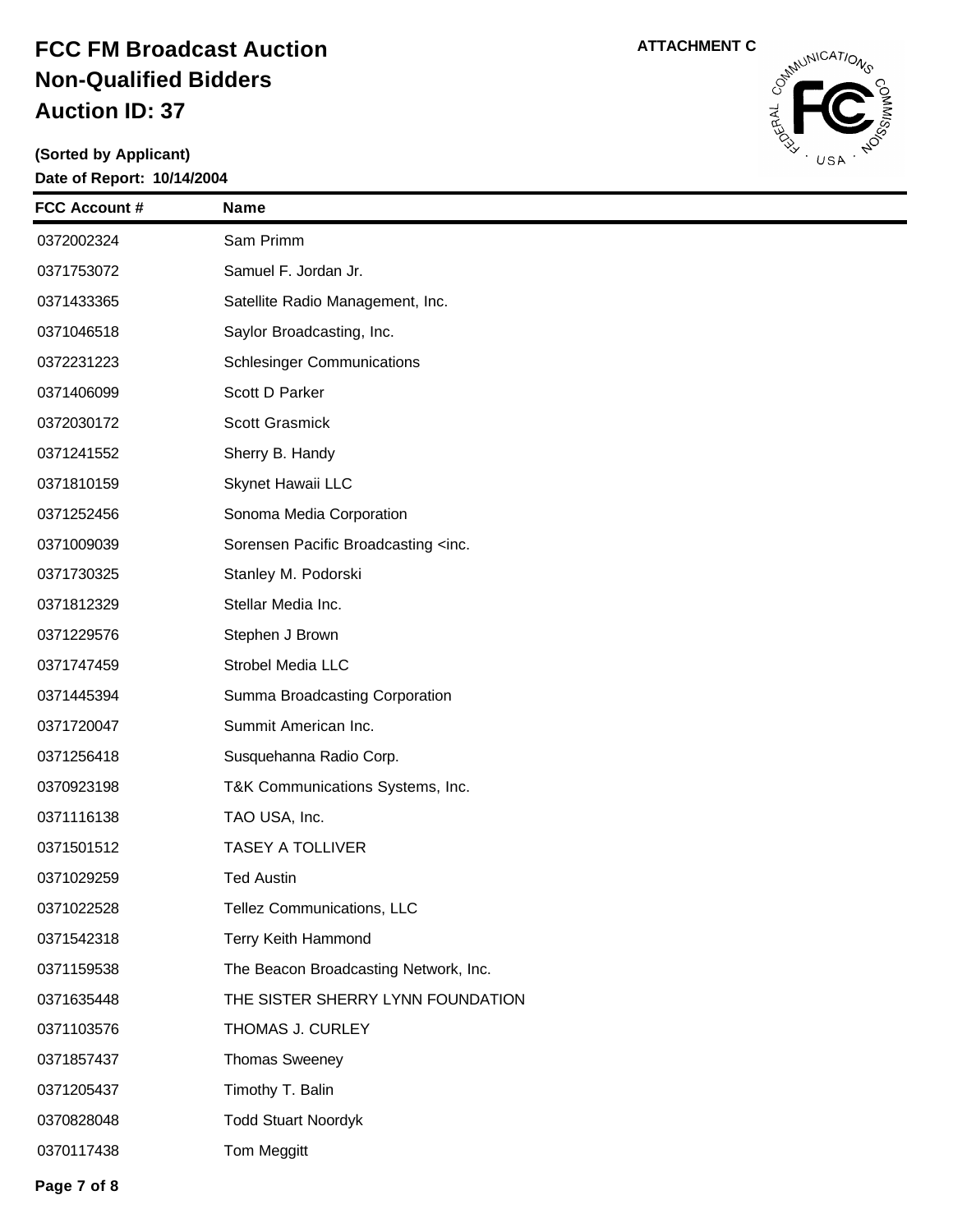**(Sorted by Applicant) Date of Report: 10/14/2004**

| <b>FCC Account #</b> | <b>Name</b>                                         |
|----------------------|-----------------------------------------------------|
| 0372002324           | Sam Primm                                           |
| 0371753072           | Samuel F. Jordan Jr.                                |
| 0371433365           | Satellite Radio Management, Inc.                    |
| 0371046518           | Saylor Broadcasting, Inc.                           |
| 0372231223           | <b>Schlesinger Communications</b>                   |
| 0371406099           | Scott D Parker                                      |
| 0372030172           | Scott Grasmick                                      |
| 0371241552           | Sherry B. Handy                                     |
| 0371810159           | Skynet Hawaii LLC                                   |
| 0371252456           | Sonoma Media Corporation                            |
| 0371009039           | Sorensen Pacific Broadcasting <inc.< th=""></inc.<> |
| 0371730325           | Stanley M. Podorski                                 |
| 0371812329           | Stellar Media Inc.                                  |
| 0371229576           | Stephen J Brown                                     |
| 0371747459           | Strobel Media LLC                                   |
| 0371445394           | Summa Broadcasting Corporation                      |
| 0371720047           | Summit American Inc.                                |
| 0371256418           | Susquehanna Radio Corp.                             |
| 0370923198           | T&K Communications Systems, Inc.                    |
| 0371116138           | TAO USA, Inc.                                       |
| 0371501512           | <b>TASEY A TOLLIVER</b>                             |
| 0371029259           | <b>Ted Austin</b>                                   |
| 0371022528           | Tellez Communications, LLC                          |
| 0371542318           | Terry Keith Hammond                                 |
| 0371159538           | The Beacon Broadcasting Network, Inc.               |
| 0371635448           | THE SISTER SHERRY LYNN FOUNDATION                   |
| 0371103576           | THOMAS J. CURLEY                                    |
| 0371857437           | <b>Thomas Sweeney</b>                               |
| 0371205437           | Timothy T. Balin                                    |
| 0370828048           | <b>Todd Stuart Noordyk</b>                          |



Tom Meggitt